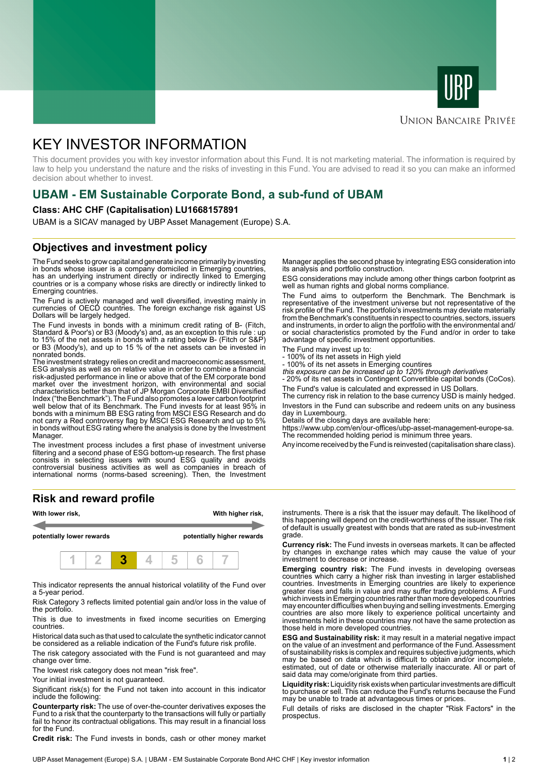



### **UNION BANCAIRE PRIVÉE**

# KEY INVESTOR INFORMATION

This document provides you with key investor information about this Fund. It is not marketing material. The information is required by law to help you understand the nature and the risks of investing in this Fund. You are advised to read it so you can make an informed decision about whether to invest.

# **UBAM - EM Sustainable Corporate Bond, a sub-fund of UBAM**

#### **Class: AHC CHF (Capitalisation) LU1668157891**

UBAM is a SICAV managed by UBP Asset Management (Europe) S.A.

### **Objectives and investment policy**

The Fund seeks to grow capital and generate income primarily by investing in bonds whose issuer is a company domiciled in Emerging countries, has an underlying instrument directly or indirectly linked to Emerging countries or is a company whose risks are directly or indirectly linked to Emerging countries.

The Fund is actively managed and well diversified, investing mainly in currencies of OECD countries. The foreign exchange risk against US Dollars will be largely hedged.

The Fund invests in bonds with a minimum credit rating of B- (Fitch, Standard & Poor's) or B3 (Moody's) and, as an exception to this rule : up to 15% of the net assets in bonds with a rating below B- (Fitch or S&P) or B3 (Moody's), and up to 15 % of the net assets can be invested in nonrated bonds.

The investment strategy relies on credit and macroeconomic assessment, ESG analysis as well as on relative value in order to combine a financial risk-adjusted performance in line or above that of the EM corporate bond market over the investment horizon, with environmental and social characteristics better than that of JP Morgan Corporate EMBI Diversified Index ("the Benchmark"). The Fund also promotes a lower carbon footprint well below that of its Benchmark. The Fund invests for at least 95% in bonds with a minimum BB ESG rating from MSCI ESG Research and do not carry a Red controversy flag by MSCI ESG Research and up to 5% in bonds without ESG rating where the analysis is done by the Investment Manager.

The investment process includes a first phase of investment universe filtering and a second phase of ESG bottom-up research. The first phase consists in selecting issuers with sound ESG quality and avoids controversial business activities as well as companies in breach of international norms (norms-based screening). Then, the Investment

#### **Risk and reward profile**



This indicator represents the annual historical volatility of the Fund over a 5-year period.

Risk Category 3 reflects limited potential gain and/or loss in the value of the portfolio.

This is due to investments in fixed income securities on Emerging countries.

Historical data such as that used to calculate the synthetic indicator cannot be considered as a reliable indication of the Fund's future risk profile.

The risk category associated with the Fund is not guaranteed and may change over time.

The lowest risk category does not mean "risk free".

Your initial investment is not guaranteed.

Significant risk(s) for the Fund not taken into account in this indicator include the following:

**Counterparty risk:** The use of over-the-counter derivatives exposes the Fund to a risk that the counterparty to the transactions will fully or partially fail to honor its contractual obligations. This may result in a financial loss for the Fund.

**Credit risk:** The Fund invests in bonds, cash or other money market

Manager applies the second phase by integrating ESG consideration into its analysis and portfolio construction.

ESG considerations may include among other things carbon footprint as well as human rights and global norms compliance.

The Fund aims to outperform the Benchmark. The Benchmark is representative of the investment universe but not representative of the risk profile of the Fund. The portfolio's investments may deviate materially from the Benchmark's constituents in respect to countries, sectors, issuers and instruments, in order to align the portfolio with the environmental and/ or social characteristics promoted by the Fund and/or in order to take advantage of specific investment opportunities.

The Fund may invest up to:

- 100% of its net assets in High yield
- 100% of its net assets in Emerging countires this exposure can be increased up to 120% through derivatives

- 20% of its net assets in Contingent Convertible capital bonds (CoCos). The Fund's value is calculated and expressed in US Dollars.

The currency risk in relation to the base currency USD is mainly hedged. Investors in the Fund can subscribe and redeem units on any business day in Luxembourg.

Details of the closing days are available here:

https://www.ubp.com/en/our-offices/ubp-asset-management-europe-sa. The recommended holding period is minimum three years.

Any income received by the Fund is reinvested (capitalisation share class).

instruments. There is a risk that the issuer may default. The likelihood of this happening will depend on the credit-worthiness of the issuer. The risk of default is usually greatest with bonds that are rated as sub-investment grade.

**Currency risk:** The Fund invests in overseas markets. It can be affected by changes in exchange rates which may cause the value of your investment to decrease or increase.

**Emerging country risk:** The Fund invests in developing overseas countries which carry a higher risk than investing in larger established countries. Investments in Emerging countries are likely to experience greater rises and falls in value and may suffer trading problems. A Fund which invests in Emerging countries rather than more developed countries may encounter difficulties when buying and selling investments. Emerging countries are also more likely to experience political uncertainty and investments held in these countries may not have the same protection as those held in more developed countries.

**ESG and Sustainability risk:** it may result in a material negative impact on the value of an investment and performance of the Fund. Assessment of sustainability risks is complex and requires subjective judgments, which may be based on data which is difficult to obtain and/or incomplete, estimated, out of date or otherwise materially inaccurate. All or part of said data may come/originate from third parties.

**Liquidity risk:** Liquidity risk exists when particular investments are difficult to purchase or sell. This can reduce the Fund's returns because the Fund may be unable to trade at advantageous times or prices.

Full details of risks are disclosed in the chapter "Risk Factors" in the prospectus.